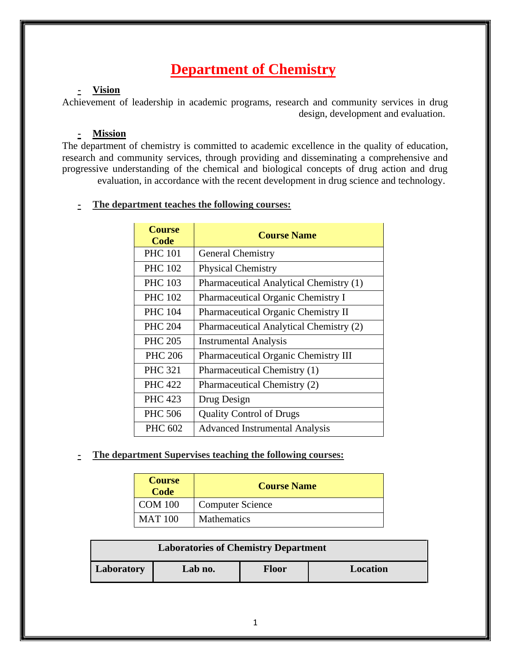# **Department of Chemistry**

# **- Vision**

Achievement of leadership in academic programs, research and community services in drug design, development and evaluation.

### **- Mission**

The department of chemistry is committed to academic excellence in the quality of education, research and community services, through providing and disseminating a comprehensive and progressive understanding of the chemical and biological concepts of drug action and drug evaluation, in accordance with the recent development in drug science and technology.

# **- The department teaches the following courses:**

| <b>Course</b><br><b>Code</b> | <b>Course Name</b>                      |  |
|------------------------------|-----------------------------------------|--|
| <b>PHC 101</b>               | <b>General Chemistry</b>                |  |
| <b>PHC 102</b>               | <b>Physical Chemistry</b>               |  |
| <b>PHC 103</b>               | Pharmaceutical Analytical Chemistry (1) |  |
| <b>PHC 102</b>               | Pharmaceutical Organic Chemistry I      |  |
| <b>PHC 104</b>               | Pharmaceutical Organic Chemistry II     |  |
| <b>PHC 204</b>               | Pharmaceutical Analytical Chemistry (2) |  |
| <b>PHC 205</b>               | <b>Instrumental Analysis</b>            |  |
| <b>PHC 206</b>               | Pharmaceutical Organic Chemistry III    |  |
| <b>PHC 321</b>               | Pharmaceutical Chemistry (1)            |  |
| <b>PHC 422</b>               | Pharmaceutical Chemistry (2)            |  |
| <b>PHC 423</b>               | Drug Design                             |  |
| <b>PHC 506</b>               | <b>Quality Control of Drugs</b>         |  |
| PHC 602                      | <b>Advanced Instrumental Analysis</b>   |  |

### **- The department Supervises teaching the following courses:**

| <b>Course</b><br>Code | <b>Course Name</b>      |
|-----------------------|-------------------------|
| <b>COM 100</b>        | <b>Computer Science</b> |
| <b>MAT 100</b>        | <b>Mathematics</b>      |

| <b>Laboratories of Chemistry Department</b> |         |       |                 |  |  |
|---------------------------------------------|---------|-------|-----------------|--|--|
| Laboratory                                  | Lab no. | Floor | <b>Location</b> |  |  |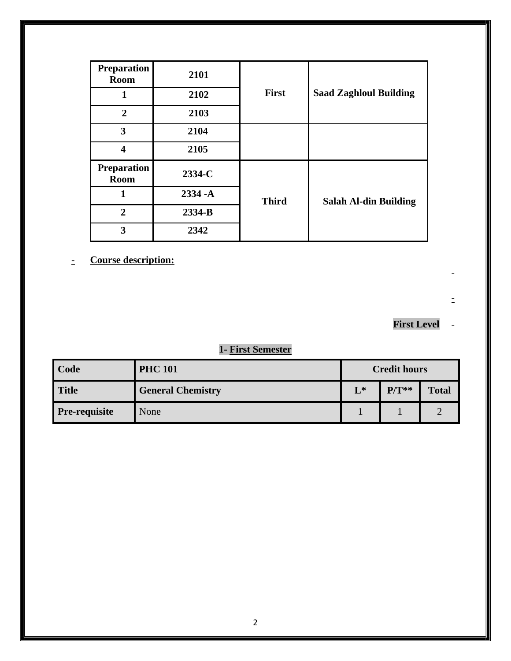| <b>Preparation</b><br><b>Room</b> | 2101       |              |                               |
|-----------------------------------|------------|--------------|-------------------------------|
| 1                                 | 2102       | <b>First</b> | <b>Saad Zaghloul Building</b> |
| $\overline{2}$                    | 2103       |              |                               |
| 3                                 | 2104       |              |                               |
| 4                                 | 2105       |              |                               |
| <b>Preparation</b><br><b>Room</b> | 2334-C     |              |                               |
| 1                                 | $2334 - A$ | <b>Third</b> | <b>Salah Al-din Building</b>  |
| $\mathbf{2}$                      | 2334-B     |              |                               |
| 3                                 | 2342       |              |                               |

- **Course description:**

-

 $\equiv$ 

# **First Level** -

# **1- First Semester**

| Code                 | <b>PHC 101</b>           | <b>Credit hours</b> |         |              |
|----------------------|--------------------------|---------------------|---------|--------------|
| Title                | <b>General Chemistry</b> | $L^*$               | $P/T**$ | <b>Total</b> |
| <b>Pre-requisite</b> | None                     |                     |         |              |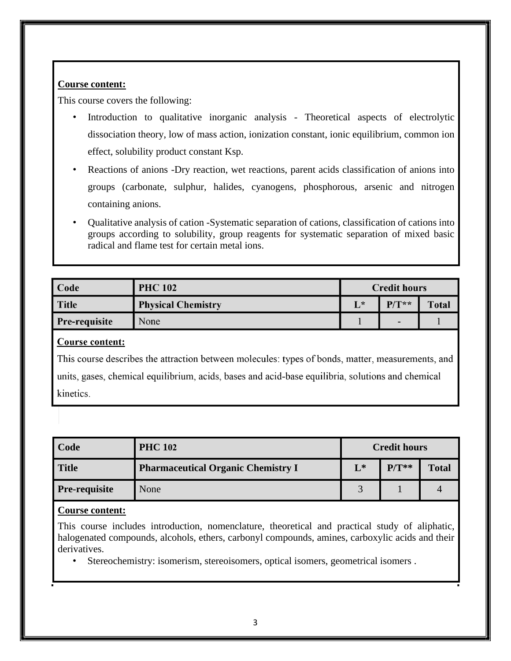This course covers the following:

- Introduction to qualitative inorganic analysis Theoretical aspects of electrolytic dissociation theory, low of mass action, ionization constant, ionic equilibrium, common ion effect, solubility product constant Ksp.
- Reactions of anions -Dry reaction, wet reactions, parent acids classification of anions into groups (carbonate, sulphur, halides, cyanogens, phosphorous, arsenic and nitrogen containing anions.
- Qualitative analysis of cation -Systematic separation of cations, classification of cations into groups according to solubility, group reagents for systematic separation of mixed basic radical and flame test for certain metal ions.

| Code                 | <b>PHC 102</b>            | <b>Credit hours</b> |         |       |  |
|----------------------|---------------------------|---------------------|---------|-------|--|
| <b>Title</b>         | <b>Physical Chemistry</b> | L*                  | $P/T**$ | Total |  |
| <b>Pre-requisite</b> | None                      |                     | -       |       |  |

### Course content:

This course describes the attraction between molecules: types of bonds, matter, measurements, and units, gases, chemical equilibrium, acids, bases and acid-base equilibria, solutions and chemical kinetics.

| Code          | <b>PHC 102</b>                            | <b>Credit hours</b> |         |              |
|---------------|-------------------------------------------|---------------------|---------|--------------|
| <b>Title</b>  | <b>Pharmaceutical Organic Chemistry I</b> | $L^*$               | $P/T**$ | <b>Total</b> |
| Pre-requisite | None                                      | $\bigcap$           |         |              |

### **Course content:**

This course includes introduction, nomenclature, theoretical and practical study of aliphatic, halogenated compounds, alcohols, ethers, carbonyl compounds, amines, carboxylic acids and their derivatives.

• Stereochemistry: isomerism, stereoisomers, optical isomers, geometrical isomers .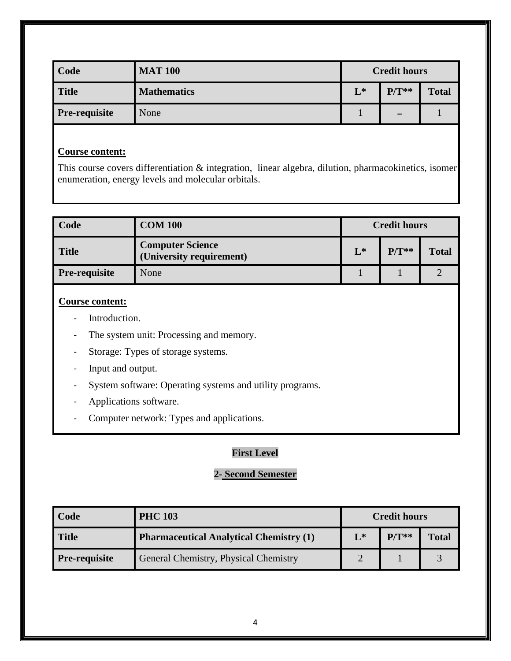| Code                 | <b>MAT 100</b>     | <b>Credit hours</b> |                          |              |
|----------------------|--------------------|---------------------|--------------------------|--------------|
| <b>Title</b>         | <b>Mathematics</b> | $L^*$               | $P/T**$                  | <b>Total</b> |
| <b>Pre-requisite</b> | None               |                     | $\overline{\phantom{0}}$ |              |

This course covers differentiation & integration, linear algebra, dilution, pharmacokinetics, isomer enumeration, energy levels and molecular orbitals.

| <b>Code</b>          | <b>COM 100</b>                                      | <b>Credit hours</b> |         |              |
|----------------------|-----------------------------------------------------|---------------------|---------|--------------|
| <b>Title</b>         | <b>Computer Science</b><br>(University requirement) | $L^*$               | $P/T**$ | <b>Total</b> |
| <b>Pre-requisite</b> | None                                                |                     |         |              |

## **Course content:**

- Introduction.
- The system unit: Processing and memory.
- Storage: Types of storage systems.
- Input and output.
- System software: Operating systems and utility programs.
- Applications software.
- Computer network: Types and applications.

# **First Level**

# **2- Second Semester**

| <b>Code</b>          | <b>PHC 103</b>                                 | <b>Credit hours</b> |         |              |
|----------------------|------------------------------------------------|---------------------|---------|--------------|
| <b>Title</b>         | <b>Pharmaceutical Analytical Chemistry (1)</b> | $L^*$               | $P/T**$ | <b>Total</b> |
| <b>Pre-requisite</b> | General Chemistry, Physical Chemistry          |                     |         |              |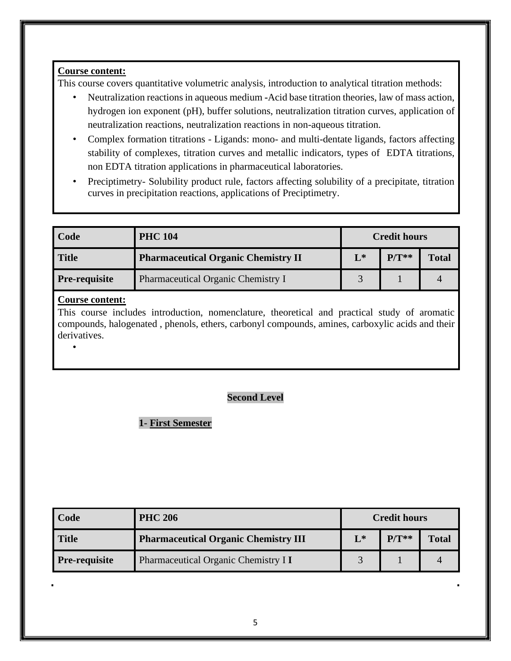This course covers quantitative volumetric analysis, introduction to analytical titration methods:

- Neutralization reactions in aqueous medium **-**Acid base titration theories, law of mass action, hydrogen ion exponent (pH), buffer solutions, neutralization titration curves, application of neutralization reactions, neutralization reactions in non-aqueous titration.
- Complex formation titrations Ligands: mono- and multi-dentate ligands, factors affecting stability of complexes, titration curves and metallic indicators, types of EDTA titrations, non EDTA titration applications in pharmaceutical laboratories.
- Preciptimetry- Solubility product rule, factors affecting solubility of a precipitate, titration curves in precipitation reactions, applications of Preciptimetry.

| Code                 | <b>PHC 104</b>                             | <b>Credit hours</b> |         |              |
|----------------------|--------------------------------------------|---------------------|---------|--------------|
| <b>Title</b>         | <b>Pharmaceutical Organic Chemistry II</b> | $L^*$               | $P/T**$ | <b>Total</b> |
| <b>Pre-requisite</b> | Pharmaceutical Organic Chemistry I         |                     |         |              |

### **Course content:**

•

This course includes introduction, nomenclature, theoretical and practical study of aromatic compounds, halogenated , phenols, ethers, carbonyl compounds, amines, carboxylic acids and their derivatives.

# **Second Level**

# **1- First Semester**

| Code                 | <b>PHC 206</b>                              | <b>Credit hours</b> |         |              |
|----------------------|---------------------------------------------|---------------------|---------|--------------|
| <b>Title</b>         | <b>Pharmaceutical Organic Chemistry III</b> | $L^*$               | $P/T**$ | <b>Total</b> |
| <b>Pre-requisite</b> | Pharmaceutical Organic Chemistry I I        |                     |         |              |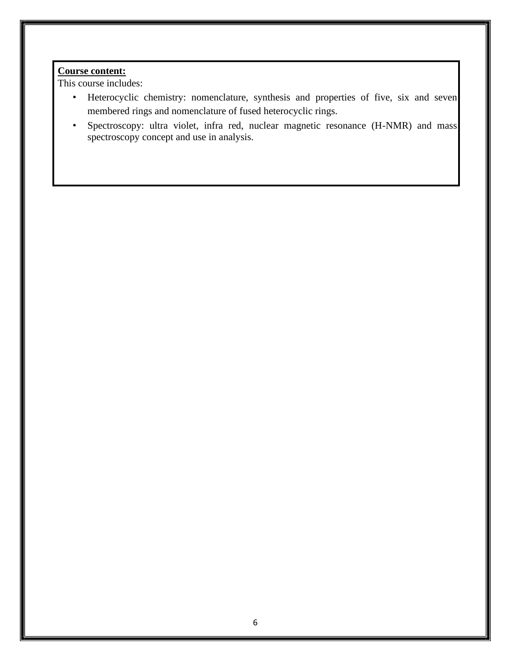This course includes:

- Heterocyclic chemistry: nomenclature, synthesis and properties of five, six and seven membered rings and nomenclature of fused heterocyclic rings.
- Spectroscopy: ultra violet, infra red, nuclear magnetic resonance (H-NMR) and mass spectroscopy concept and use in analysis.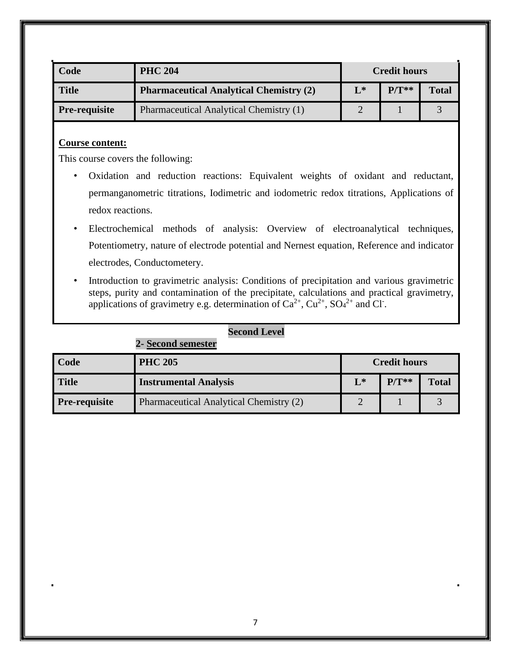| Code                 | <b>PHC 204</b>                                 | <b>Credit hours</b> |         |              |
|----------------------|------------------------------------------------|---------------------|---------|--------------|
| <b>Title</b>         | <b>Pharmaceutical Analytical Chemistry (2)</b> | $\mathbf{L}^*$      | $P/T**$ | <b>Total</b> |
| <b>Pre-requisite</b> | Pharmaceutical Analytical Chemistry (1)        |                     |         |              |

This course covers the following:

- Oxidation and reduction reactions: Equivalent weights of oxidant and reductant, permanganometric titrations, Iodimetric and iodometric redox titrations, Applications of redox reactions.
- Electrochemical methods of analysis: Overview of electroanalytical techniques, Potentiometry, nature of electrode potential and Nernest equation, Reference and indicator electrodes, Conductometery.
- Introduction to gravimetric analysis: Conditions of precipitation and various gravimetric steps, purity and contamination of the precipitate, calculations and practical gravimetry, applications of gravimetry e.g. determination of  $Ca^{2+}$ ,  $Cu^{2+}$ ,  $SO<sub>4</sub><sup>2+</sup>$  and Cl<sup>-</sup>.

| Code                 | <b>PHC 205</b>                          | <b>Credit hours</b> |         |              |
|----------------------|-----------------------------------------|---------------------|---------|--------------|
| <b>Title</b>         | <b>Instrumental Analysis</b>            | $L^*$               | $P/T**$ | <b>Total</b> |
| <b>Pre-requisite</b> | Pharmaceutical Analytical Chemistry (2) |                     |         |              |

### **Second Level**

**2- Second semester**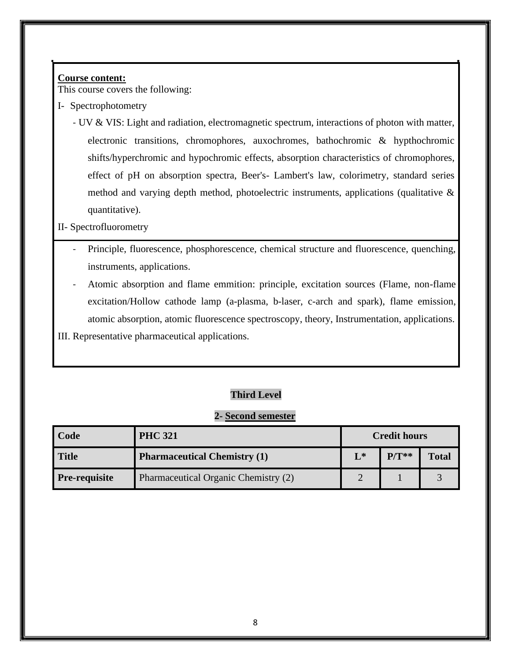This course covers the following:

- I- Spectrophotometry
	- UV & VIS: Light and radiation, electromagnetic spectrum, interactions of photon with matter, electronic transitions, chromophores, auxochromes, bathochromic & hypthochromic shifts/hyperchromic and hypochromic effects, absorption characteristics of chromophores, effect of pH on absorption spectra, Beer's- Lambert's law, colorimetry, standard series method and varying depth method, photoelectric instruments, applications (qualitative & quantitative).

### II- Spectrofluorometry

- Principle, fluorescence, phosphorescence, chemical structure and fluorescence, quenching, instruments, applications.
- Atomic absorption and flame emmition: principle, excitation sources (Flame, non-flame excitation/Hollow cathode lamp (a-plasma, b-laser, c-arch and spark), flame emission, atomic absorption, atomic fluorescence spectroscopy, theory, Instrumentation, applications.
- III. Representative pharmaceutical applications.

# **Third Level**

### **2- Second semester**

| Code                 | <b>PHC 321</b>                       | <b>Credit hours</b> |         |              |
|----------------------|--------------------------------------|---------------------|---------|--------------|
| Title                | <b>Pharmaceutical Chemistry (1)</b>  | $L^*$               | $P/T**$ | <b>Total</b> |
| <b>Pre-requisite</b> | Pharmaceutical Organic Chemistry (2) |                     |         |              |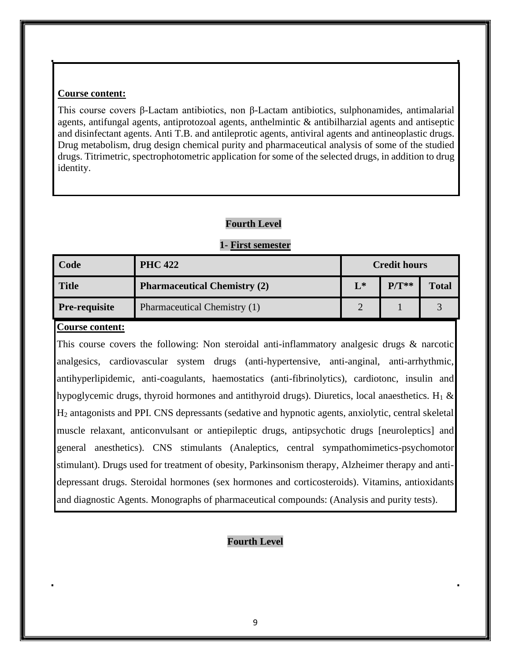This course covers β-Lactam antibiotics, non β-Lactam antibiotics, sulphonamides, antimalarial agents, antifungal agents, antiprotozoal agents, anthelmintic & antibilharzial agents and antiseptic and disinfectant agents. Anti T.B. and antileprotic agents, antiviral agents and antineoplastic drugs. Drug metabolism, drug design chemical purity and pharmaceutical analysis of some of the studied drugs. Titrimetric, spectrophotometric application for some of the selected drugs, in addition to drug identity.

### **Fourth Level**

### **1- First semester**

| Code                 | <b>PHC 422</b>                      | <b>Credit hours</b> |         |              |
|----------------------|-------------------------------------|---------------------|---------|--------------|
| <b>Title</b>         | <b>Pharmaceutical Chemistry (2)</b> | $L^*$               | $P/T**$ | <b>Total</b> |
| <b>Pre-requisite</b> | Pharmaceutical Chemistry (1)        | ◠                   |         |              |

### **Course content:**

This course covers the following: Non steroidal anti-inflammatory analgesic drugs & narcotic analgesics, cardiovascular system drugs (anti-hypertensive, anti-anginal, anti-arrhythmic, antihyperlipidemic, anti-coagulants, haemostatics (anti-fibrinolytics), cardiotonc, insulin and hypoglycemic drugs, thyroid hormones and antithyroid drugs). Diuretics, local anaesthetics. H<sub>1</sub>  $\&$ H<sup>2</sup> antagonists and PPI. CNS depressants (sedative and hypnotic agents, anxiolytic, central skeletal muscle relaxant, anticonvulsant or antiepileptic drugs, antipsychotic drugs [neuroleptics] and general anesthetics). CNS stimulants (Analeptics, central sympathomimetics-psychomotor stimulant). Drugs used for treatment of obesity, Parkinsonism therapy, Alzheimer therapy and antidepressant drugs. Steroidal hormones (sex hormones and corticosteroids). Vitamins, antioxidants and diagnostic Agents. Monographs of pharmaceutical compounds: (Analysis and purity tests).

### **Fourth Level**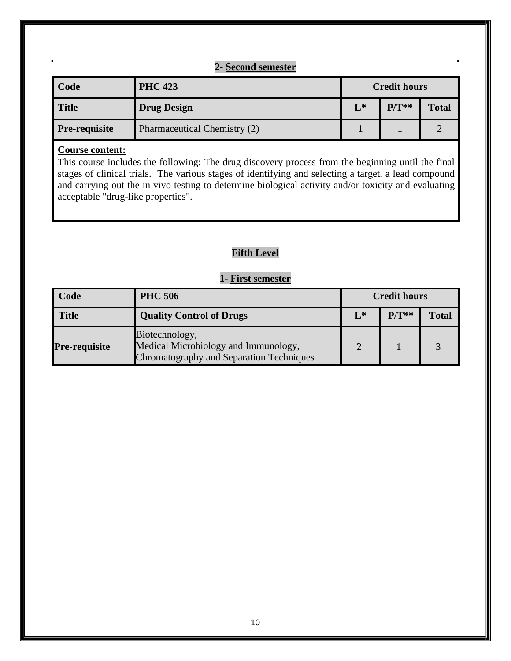# **2- Second semester**

| Code                 | <b>PHC 423</b>               | <b>Credit hours</b> |         |              |
|----------------------|------------------------------|---------------------|---------|--------------|
| <b>Title</b>         | <b>Drug Design</b>           | $L^*$               | $P/T**$ | <b>Total</b> |
| <b>Pre-requisite</b> | Pharmaceutical Chemistry (2) |                     |         |              |

## **Course content:**

This course includes the following: The drug discovery process from the beginning until the final stages of clinical trials. The various stages of identifying and selecting a target, a lead compound and carrying out the in vivo testing to determine biological activity and/or toxicity and evaluating acceptable "drug-like properties".

# **Fifth Level**

# **1- First semester**

| Code                 | <b>PHC 506</b>                                                                                     | <b>Credit hours</b> |         |              |
|----------------------|----------------------------------------------------------------------------------------------------|---------------------|---------|--------------|
| <b>Title</b>         | <b>Quality Control of Drugs</b>                                                                    | $L^*$               | $P/T**$ | <b>Total</b> |
| <b>Pre-requisite</b> | Biotechnology,<br>Medical Microbiology and Immunology,<br>Chromatography and Separation Techniques | $\mathcal{D}$       |         |              |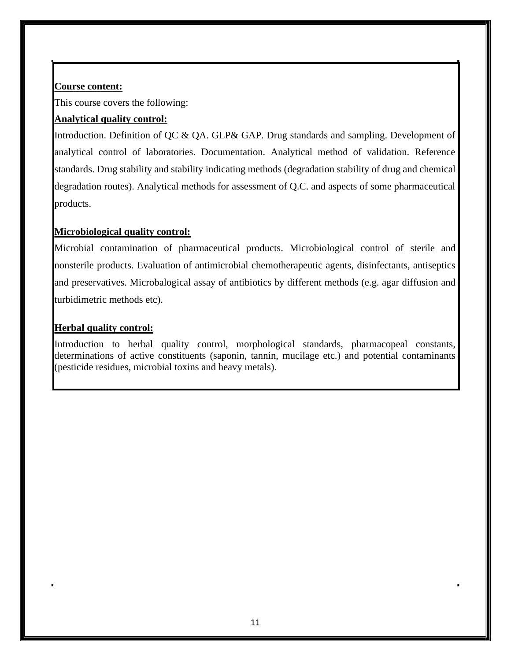This course covers the following:

# **Analytical quality control:**

Introduction. Definition of QC & QA. GLP& GAP. Drug standards and sampling. Development of analytical control of laboratories. Documentation. Analytical method of validation. Reference standards. Drug stability and stability indicating methods (degradation stability of drug and chemical degradation routes). Analytical methods for assessment of Q.C. and aspects of some pharmaceutical products.

# **Microbiological quality control:**

Microbial contamination of pharmaceutical products. Microbiological control of sterile and nonsterile products. Evaluation of antimicrobial chemotherapeutic agents, disinfectants, antiseptics and preservatives. Microbalogical assay of antibiotics by different methods (e.g. agar diffusion and turbidimetric methods etc).

# **Herbal quality control:**

Introduction to herbal quality control, morphological standards, pharmacopeal constants, determinations of active constituents (saponin, tannin, mucilage etc.) and potential contaminants (pesticide residues, microbial toxins and heavy metals).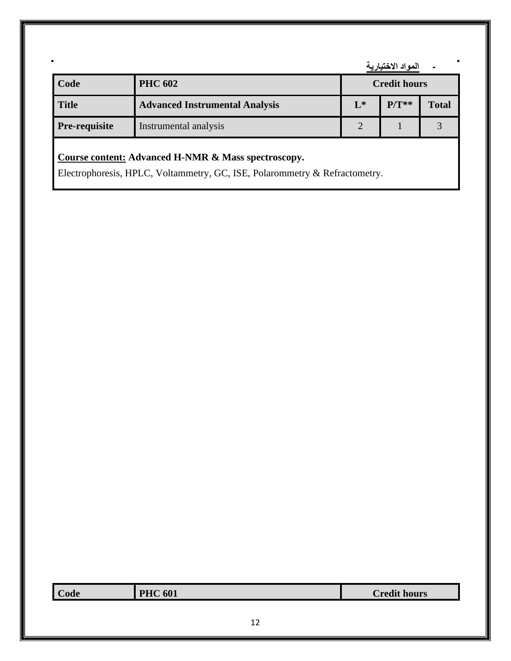**- المواد االختيارية**

| Code                 | <b>PHC 602</b>                        | <b>Credit hours</b> |         |       |
|----------------------|---------------------------------------|---------------------|---------|-------|
| <b>Title</b>         | <b>Advanced Instrumental Analysis</b> | $L^*$               | $P/T**$ | Total |
| <b>Pre-requisite</b> | Instrumental analysis                 | ◠                   |         |       |

# **Course content: Advanced H-NMR & Mass spectroscopy.**

Electrophoresis, HPLC, Voltammetry, GC, ISE, Polarommetry & Refractometry.